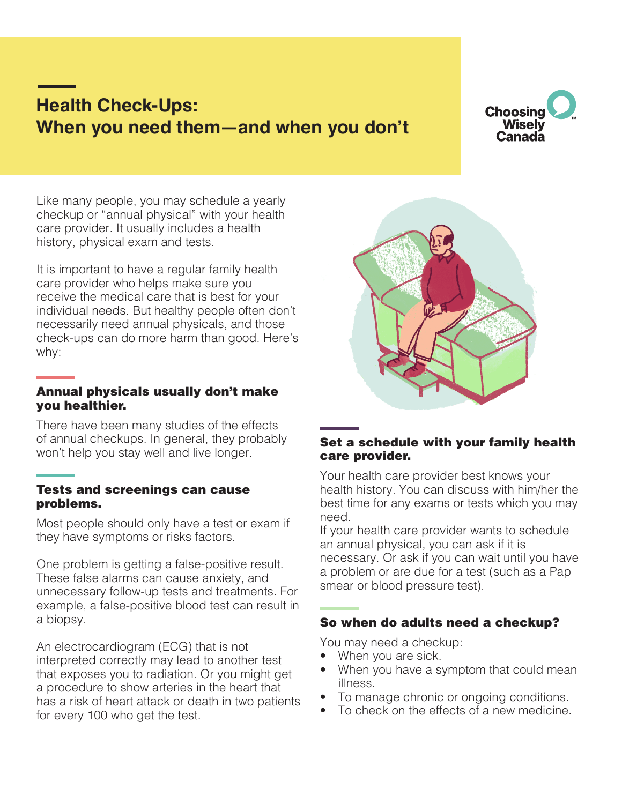# **Health Check-Ups: When you need them—and when you don't**



Like many people, you may schedule a yearly checkup or "annual physical" with your health care provider. It usually includes a health history, physical exam and tests.

It is important to have a regular family health care provider who helps make sure you receive the medical care that is best for your individual needs. But healthy people often don't necessarily need annual physicals, and those check-ups can do more harm than good. Here's why:

#### Annual physicals usually don't make you healthier.

There have been many studies of the effects of annual checkups. In general, they probably won't help you stay well and live longer.

#### Tests and screenings can cause problems.

Most people should only have a test or exam if they have symptoms or risks factors.

One problem is getting a false-positive result. These false alarms can cause anxiety, and unnecessary follow-up tests and treatments. For example, a false-positive blood test can result in a biopsy.

An electrocardiogram (ECG) that is not interpreted correctly may lead to another test that exposes you to radiation. Or you might get a procedure to show arteries in the heart that has a risk of heart attack or death in two patients for every 100 who get the test.



## Set a schedule with your family health care provider.

Your health care provider best knows your health history. You can discuss with him/her the best time for any exams or tests which you may need.

If your health care provider wants to schedule an annual physical, you can ask if it is necessary. Or ask if you can wait until you have a problem or are due for a test (such as a Pap smear or blood pressure test).

## So when do adults need a checkup?

You may need a checkup:

- When you are sick.
- When you have a symptom that could mean illness.
- To manage chronic or ongoing conditions.
- To check on the effects of a new medicine.